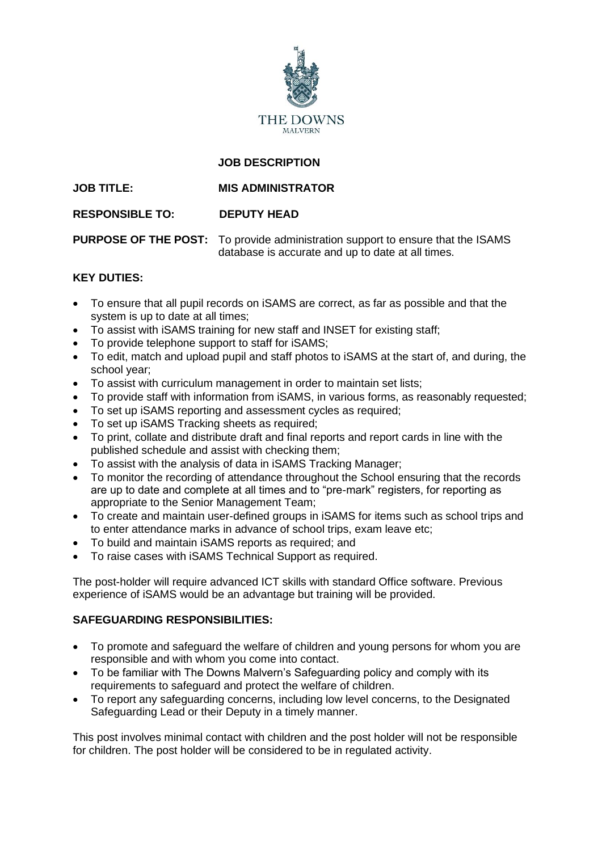

# **JOB DESCRIPTION**

## **JOB TITLE: MIS ADMINISTRATOR**

### **RESPONSIBLE TO: DEPUTY HEAD**

**PURPOSE OF THE POST:** To provide administration support to ensure that the ISAMS database is accurate and up to date at all times.

### **KEY DUTIES:**

- To ensure that all pupil records on iSAMS are correct, as far as possible and that the system is up to date at all times;
- To assist with iSAMS training for new staff and INSET for existing staff;
- To provide telephone support to staff for iSAMS;
- To edit, match and upload pupil and staff photos to iSAMS at the start of, and during, the school year;
- To assist with curriculum management in order to maintain set lists;
- To provide staff with information from iSAMS, in various forms, as reasonably requested;
- To set up iSAMS reporting and assessment cycles as required;
- To set up iSAMS Tracking sheets as required;
- To print, collate and distribute draft and final reports and report cards in line with the published schedule and assist with checking them;
- To assist with the analysis of data in iSAMS Tracking Manager;
- To monitor the recording of attendance throughout the School ensuring that the records are up to date and complete at all times and to "pre-mark" registers, for reporting as appropriate to the Senior Management Team;
- To create and maintain user-defined groups in iSAMS for items such as school trips and to enter attendance marks in advance of school trips, exam leave etc;
- To build and maintain iSAMS reports as required; and
- To raise cases with iSAMS Technical Support as required.

The post-holder will require advanced ICT skills with standard Office software. Previous experience of iSAMS would be an advantage but training will be provided.

## **SAFEGUARDING RESPONSIBILITIES:**

- To promote and safeguard the welfare of children and young persons for whom you are responsible and with whom you come into contact.
- To be familiar with The Downs Malvern's Safeguarding policy and comply with its requirements to safeguard and protect the welfare of children.
- To report any safeguarding concerns, including low level concerns, to the Designated Safeguarding Lead or their Deputy in a timely manner.

This post involves minimal contact with children and the post holder will not be responsible for children. The post holder will be considered to be in regulated activity.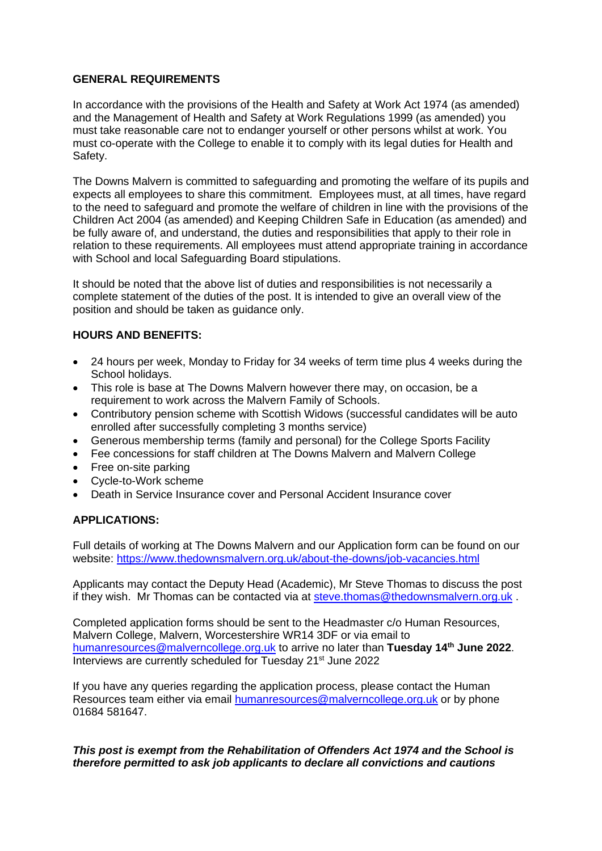#### **GENERAL REQUIREMENTS**

In accordance with the provisions of the Health and Safety at Work Act 1974 (as amended) and the Management of Health and Safety at Work Regulations 1999 (as amended) you must take reasonable care not to endanger yourself or other persons whilst at work. You must co-operate with the College to enable it to comply with its legal duties for Health and Safety.

The Downs Malvern is committed to safeguarding and promoting the welfare of its pupils and expects all employees to share this commitment. Employees must, at all times, have regard to the need to safeguard and promote the welfare of children in line with the provisions of the Children Act 2004 (as amended) and Keeping Children Safe in Education (as amended) and be fully aware of, and understand, the duties and responsibilities that apply to their role in relation to these requirements. All employees must attend appropriate training in accordance with School and local Safeguarding Board stipulations.

It should be noted that the above list of duties and responsibilities is not necessarily a complete statement of the duties of the post. It is intended to give an overall view of the position and should be taken as guidance only.

### **HOURS AND BENEFITS:**

- 24 hours per week, Monday to Friday for 34 weeks of term time plus 4 weeks during the School holidays.
- This role is base at The Downs Malvern however there may, on occasion, be a requirement to work across the Malvern Family of Schools.
- Contributory pension scheme with Scottish Widows (successful candidates will be auto enrolled after successfully completing 3 months service)
- Generous membership terms (family and personal) for the College Sports Facility
- Fee concessions for staff children at The Downs Malvern and Malvern College
- Free on-site parking
- Cycle-to-Work scheme
- Death in Service Insurance cover and Personal Accident Insurance cover

## **APPLICATIONS:**

Full details of working at The Downs Malvern and our Application form can be found on our website: https://www.thedownsmalvern.org.uk/about-the-downs/job-vacancies.html

Applicants may contact the Deputy Head (Academic), Mr Steve Thomas to discuss the post if they wish. Mr Thomas can be contacted via at [steve.thomas@thedownsmalvern.org.uk](mailto:steve.thomas@thedownsmalvern.org.uk) .

Completed application forms should be sent to the Headmaster c/o Human Resources, Malvern College, Malvern, Worcestershire WR14 3DF or via email to [humanresources@malverncollege.org.](mailto:humanresources@malverncollege.org)uk to arrive no later than **Tuesday 14th June 2022**. Interviews are currently scheduled for Tuesday 21<sup>st</sup> June 2022

If you have any queries regarding the application process, please contact the Human Resources team either via email [humanresources@malverncollege.org.uk](mailto:humanresources@malverncollege.org.uk) or by phone 01684 581647.

#### *This post is exempt from the Rehabilitation of Offenders Act 1974 and the School is therefore permitted to ask job applicants to declare all convictions and cautions*